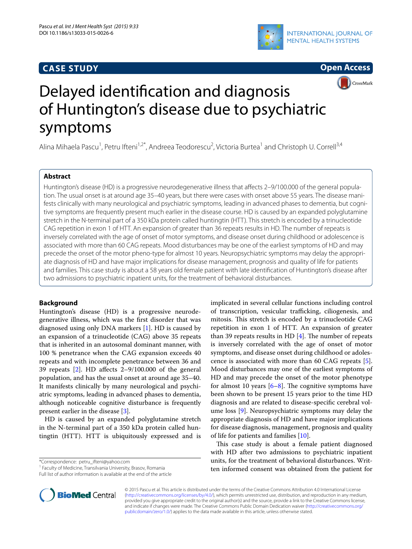# **CASE STUDY**





CrossMark

# Delayed identification and diagnosis of Huntington's disease due to psychiatric symptoms

Alina Mihaela Pascu<sup>1</sup>, Petru Ifteni<sup>1,2\*</sup>, Andreea Teodorescu<sup>2</sup>, Victoria Burtea<sup>1</sup> and Christoph U. Correll<sup>3,4</sup>

# **Abstract**

Huntington's disease (HD) is a progressive neurodegenerative illness that affects 2–9/100.000 of the general population. The usual onset is at around age 35–40 years, but there were cases with onset above 55 years. The disease manifests clinically with many neurological and psychiatric symptoms, leading in advanced phases to dementia, but cognitive symptoms are frequently present much earlier in the disease course. HD is caused by an expanded polyglutamine stretch in the N-terminal part of a 350 kDa protein called huntingtin (HTT). This stretch is encoded by a trinucleotide CAG repetition in exon 1 of HTT. An expansion of greater than 36 repeats results in HD. The number of repeats is inversely correlated with the age of onset of motor symptoms, and disease onset during childhood or adolescence is associated with more than 60 CAG repeats. Mood disturbances may be one of the earliest symptoms of HD and may precede the onset of the motor pheno-type for almost 10 years. Neuropsychiatric symptoms may delay the appropriate diagnosis of HD and have major implications for disease management, prognosis and quality of life for patients and families. This case study is about a 58 years old female patient with late identification of Huntington's disease after two admissions to psychiatric inpatient units, for the treatment of behavioral disturbances.

# **Background**

Huntington's disease (HD) is a progressive neurodegenerative illness, which was the first disorder that was diagnosed using only DNA markers [\[1\]](#page-2-0). HD is caused by an expansion of a trinucleotide (CAG) above 35 repeats that is inherited in an autosomal dominant manner, with 100 % penetrance when the CAG expansion exceeds 40 repeats and with incomplete penetrance between 36 and 39 repeats [[2\]](#page-2-1). HD affects 2–9/100.000 of the general population, and has the usual onset at around age 35–40. It manifests clinically by many neurological and psychiatric symptoms, leading in advanced phases to dementia, although noticeable cognitive disturbance is frequently present earlier in the disease [\[3](#page-2-2)].

HD is caused by an expanded polyglutamine stretch in the N-terminal part of a 350 kDa protein called huntingtin (HTT). HTT is ubiquitously expressed and is

\*Correspondence: petru\_ifteni@yahoo.com

<sup>1</sup> Faculty of Medicine, Transilvania University, Brasov, Romania

Full list of author information is available at the end of the article



This case study is about a female patient diagnosed with HD after two admissions to psychiatric inpatient units, for the treatment of behavioral disturbances. Written informed consent was obtained from the patient for



© 2015 Pascu et al. This article is distributed under the terms of the Creative Commons Attribution 4.0 International License [\(http://creativecommons.org/licenses/by/4.0/\)](http://creativecommons.org/licenses/by/4.0/), which permits unrestricted use, distribution, and reproduction in any medium, provided you give appropriate credit to the original author(s) and the source, provide a link to the Creative Commons license, and indicate if changes were made. The Creative Commons Public Domain Dedication waiver ([http://creativecommons.org/](http://creativecommons.org/publicdomain/zero/1.0/) [publicdomain/zero/1.0/](http://creativecommons.org/publicdomain/zero/1.0/)) applies to the data made available in this article, unless otherwise stated.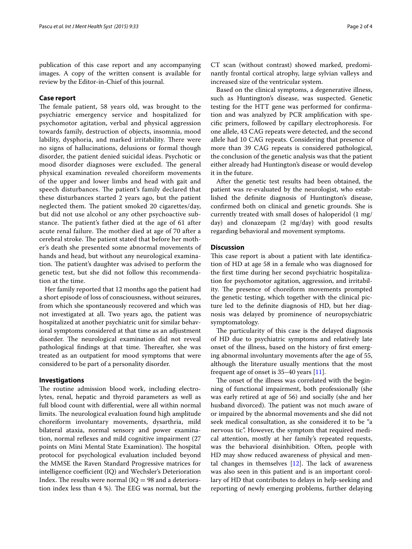publication of this case report and any accompanying images. A copy of the written consent is available for review by the Editor-in-Chief of this journal.

# **Case report**

The female patient, 58 years old, was brought to the psychiatric emergency service and hospitalized for psychomotor agitation, verbal and physical aggression towards family, destruction of objects, insomnia, mood lability, dysphoria, and marked irritability. There were no signs of hallucinations, delusions or formal though disorder, the patient denied suicidal ideas. Psychotic or mood disorder diagnoses were excluded. The general physical examination revealed choreiform movements of the upper and lower limbs and head with gait and speech disturbances. The patient's family declared that these disturbances started 2 years ago, but the patient neglected them. The patient smoked 20 cigarettes/day, but did not use alcohol or any other psychoactive substance. The patient's father died at the age of 61 after acute renal failure. The mother died at age of 70 after a cerebral stroke. The patient stated that before her mother's death she presented some abnormal movements of hands and head, but without any neurological examination. The patient's daughter was advised to perform the genetic test, but she did not follow this recommendation at the time.

Her family reported that 12 months ago the patient had a short episode of loss of consciousness, without seizures, from which she spontaneously recovered and which was not investigated at all. Two years ago, the patient was hospitalized at another psychiatric unit for similar behavioral symptoms considered at that time as an adjustment disorder. The neurological examination did not reveal pathological findings at that time. Thereafter, she was treated as an outpatient for mood symptoms that were considered to be part of a personality disorder.

# **Investigations**

The routine admission blood work, including electrolytes, renal, hepatic and thyroid parameters as well as full blood count with differential, were all within normal limits. The neurological evaluation found high amplitude choreiform involuntary movements, dysarthria, mild bilateral ataxia, normal sensory and power examination, normal reflexes and mild cognitive impairment (27 points on Mini Mental State Examination). The hospital protocol for psychological evaluation included beyond the MMSE the Raven Standard Progressive matrices for intelligence coefficient (IQ) and Wechsler's Deterioration Index. The results were normal  $(IO = 98$  and a deterioration index less than 4 %). The EEG was normal, but the

CT scan (without contrast) showed marked, predominantly frontal cortical atrophy, large sylvian valleys and increased size of the ventricular system.

Based on the clinical symptoms, a degenerative illness, such as Huntington's disease, was suspected. Genetic testing for the HTT gene was performed for confirmation and was analyzed by PCR amplification with specific primers, followed by capillary electrophoresis. For one allele, 43 CAG repeats were detected, and the second allele had 10 CAG repeats. Considering that presence of more than 39 CAG repeats is considered pathological, the conclusion of the genetic analysis was that the patient either already had Huntington's disease or would develop it in the future.

After the genetic test results had been obtained, the patient was re-evaluated by the neurologist, who established the definite diagnosis of Huntington's disease, confirmed both on clinical and genetic grounds. She is currently treated with small doses of haloperidol (1 mg/ day) and clonazepam (2 mg/day) with good results regarding behavioral and movement symptoms.

# **Discussion**

This case report is about a patient with late identification of HD at age 58 in a female who was diagnosed for the first time during her second psychiatric hospitalization for psychomotor agitation, aggression, and irritability. The presence of choreiform movements prompted the genetic testing, which together with the clinical picture led to the definite diagnosis of HD, but her diagnosis was delayed by prominence of neuropsychiatric symptomatology.

The particularity of this case is the delayed diagnosis of HD due to psychiatric symptoms and relatively late onset of the illness, based on the history of first emerging abnormal involuntary movements after the age of 55, although the literature usually mentions that the most frequent age of onset is 35–40 years [\[11\]](#page-2-9).

The onset of the illness was correlated with the beginning of functional impairment, both professionally (she was early retired at age of 56) and socially (she and her husband divorced). The patient was not much aware of or impaired by the abnormal movements and she did not seek medical consultation, as she considered it to be "a nervous tic". However, the symptom that required medical attention, mostly at her family's repeated requests, was the behavioral disinhibition. Often, people with HD may show reduced awareness of physical and mental changes in themselves [[12\]](#page-2-10). The lack of awareness was also seen in this patient and is an important corollary of HD that contributes to delays in help-seeking and reporting of newly emerging problems, further delaying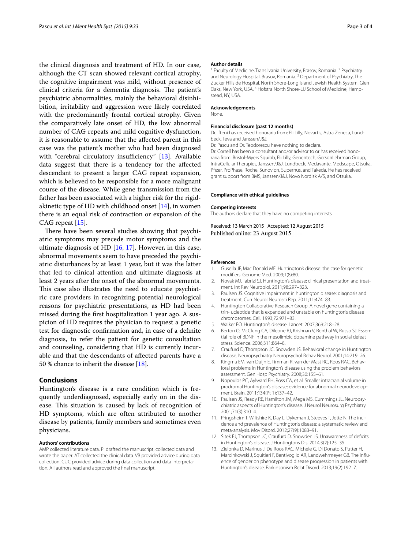the clinical diagnosis and treatment of HD. In our case, although the CT scan showed relevant cortical atrophy, the cognitive impairment was mild, without presence of clinical criteria for a dementia diagnosis. The patient's psychiatric abnormalities, mainly the behavioral disinhibition, irritability and aggression were likely correlated with the predominantly frontal cortical atrophy. Given the comparatively late onset of HD, the low abnormal number of CAG repeats and mild cognitive dysfunction, it is reasonable to assume that the affected parent in this case was the patient's mother who had been diagnosed with "cerebral circulatory insufficiency" [\[13\]](#page-2-11). Available data suggest that there is a tendency for the affected descendant to present a larger CAG repeat expansion, which is believed to be responsible for a more malignant course of the disease. While gene transmission from the father has been associated with a higher risk for the rigidakinetic type of HD with childhood onset  $[14]$ , in women there is an equal risk of contraction or expansion of the CAG repeat [\[15](#page-3-1)].

There have been several studies showing that psychiatric symptoms may precede motor symptoms and the ultimate diagnosis of HD  $[16, 17]$  $[16, 17]$  $[16, 17]$  $[16, 17]$ . However, in this case, abnormal movements seem to have preceded the psychiatric disturbances by at least 1 year, but it was the latter that led to clinical attention and ultimate diagnosis at least 2 years after the onset of the abnormal movements. This case also illustrates the need to educate psychiatric care providers in recognizing potential neurological reasons for psychiatric presentations, as HD had been missed during the first hospitalization 1 year ago. A suspicion of HD requires the physician to request a genetic test for diagnostic confirmation and, in case of a definite diagnosis, to refer the patient for genetic consultation and counseling, considering that HD is currently incurable and that the descendants of affected parents have a 50 % chance to inherit the disease [\[18](#page-3-4)].

# **Conclusions**

Huntington's disease is a rare condition which is frequently underdiagnosed, especially early on in the disease. This situation is caused by lack of recognition of HD symptoms, which are often attributed to another disease by patients, family members and sometimes even physicians.

#### **Authors' contributions**

AMP collected literature data. PI drafted the manuscript, collected data and wrote the paper. AT collected the clinical data. VB provided advice during data collection. CUC provided advice during data collection and data interpretation. All authors read and approved the final manuscript.

#### **Author details**

<sup>1</sup> Faculty of Medicine, Transilvania University, Brasov, Romania. <sup>2</sup> Psychiatry and Neurology Hospital, Brasov, Romania.<sup>3</sup> Department of Psychiatry, The Zucker Hillside Hospital, North Shore-Long Island Jewish Health System, Glen Oaks, New York, USA. 4 Hofstra North Shore-LIJ School of Medicine, Hempstead, NY, USA.

### **Acknowledgements**

None.

#### **Financial disclosure (past 12 months)**

Dr. Ifteni has received honoraria from: Eli Lilly, Novartis, Astra Zeneca, Lundbeck, Teva and Janssen/J&J.

Dr. Pascu and Dr. Teodorescu have nothing to declare.

Dr. Correll has been a consultant and/or advisor to or has received honoraria from: Bristol-Myers Squibb, Eli Lilly, Genentech, GersonLehrman Group, IntraCellular Therapies, Janssen/J&J, Lundbeck, Medavante, Medscape, Otsuka, Pfizer, ProPhase, Roche, Sunovion, Supernus, and Takeda. He has received grant support from BMS, Janssen/J&J, Novo Nordisk A/S, and Otsuka.

#### **Compliance with ethical guidelines**

#### **Competing interests**

The authors declare that they have no competing interests.

Received: 13 March 2015 Accepted: 12 August 2015 Published online: 23 August 2015

#### **References**

- <span id="page-2-0"></span>1. Gusella JF, Mac Donald ME. Huntington's disease: the case for genetic modifiers. Genome Med. 2009;1(8):80.
- <span id="page-2-1"></span>2. Novak MJ, Tabrizi SJ. Huntington's disease: clinical presentation and treatment. Int Rev Neurobiol. 2011;98:297–323.
- <span id="page-2-2"></span>3. Paulsen JS. Cognitive impairment in huntington disease: diagnosis and treatment. Curr Neurol Neurosci Rep. 2011;11:474–83.
- <span id="page-2-3"></span>4. Huntington Collaborative Research Group. A novel gene containing a trin- ucleotide that is expanded and unstable on huntington's disease chromosomes. Cell. 1993;72:971–83.
- <span id="page-2-4"></span>5. Walker FO. Huntington's disease. Lancet. 2007;369:218–28.
- <span id="page-2-5"></span>6. Berton O, McClung CA, Dileone RJ, Krishnan V, Renthal W, Russo SJ. Essential role of BDNF in the mesolimbic dopamine pathway in social defeat stress. Science. 2006;311:864–8.
- 7. Craufurd D, Thompson JC, Snowden JS. Behavioral change in Huntington disease. Neuropsychiatry Neuropsychol Behav Neurol. 2001;14:219–26.
- <span id="page-2-6"></span>8. Kingma EM, van Duijn E, Timman R, van der Mast RC, Roos RAC. Behavioral problems in Huntington's disease using the problem behaviors assessment. Gen Hosp Psychiatry. 2008;30:155–61.
- <span id="page-2-7"></span>9. Nopoulos PC, Aylward EH, Ross CA, et al. Smaller intracranial volume in prodromal Huntington's disease: evidence for abnormal neurodevelopment. Brain. 2011;134(Pt 1):137–42.
- <span id="page-2-8"></span>10. Paulsen JS, Ready RE, Hamilton JM, Mega MS, Cummings JL. Neuropsychiatric aspects of Huntington's disease. J Neurol Neurosurg Psychiatry. 2001;71(3):310–4.
- <span id="page-2-9"></span>11. Pringsheim T, Wiltshire K, Day L, Dykeman J, Steeves T, Jette N. The incidence and prevalence of Huntington's disease: a systematic review and meta-analysis. Mov Disord. 2012;27(9):1083–91.
- <span id="page-2-10"></span>12. Sitek EJ, Thompson JC, Craufurd D, Snowden JS. Unawareness of deficits in Huntington's disease. J Huntingtons Dis. 2014;3(2):125–35.
- <span id="page-2-11"></span>13. Zielonka D, Marinus J, De Roos RAC, Michele G, Di Donato S, Putter H, Marcinkowski J, Squitieri F, Bentivoglio AR, Landwehrmeyer GB. The influence of gender on phenotype and disease progression in patients with Huntington's disease. Parkinsonism Relat Disord. 2013;19(2):192–7.